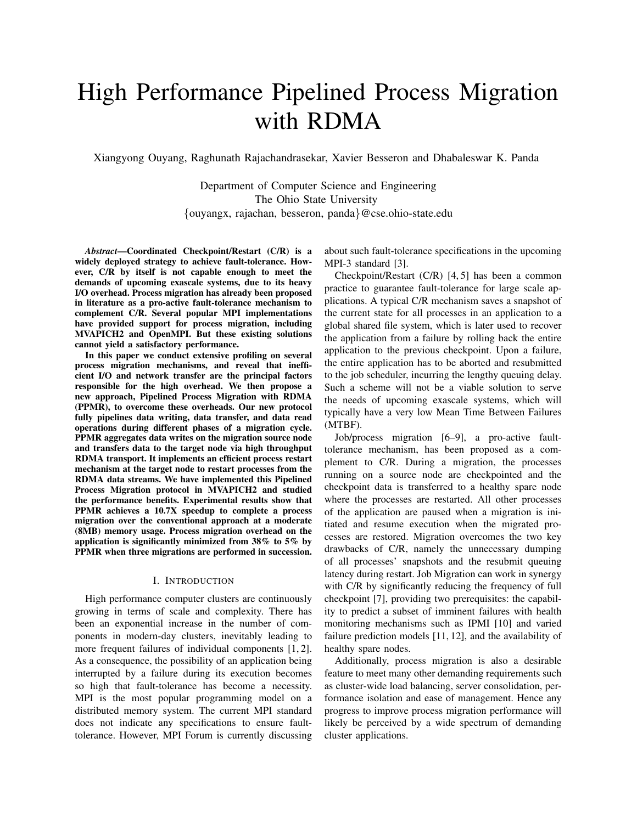# High Performance Pipelined Process Migration with RDMA

Xiangyong Ouyang, Raghunath Rajachandrasekar, Xavier Besseron and Dhabaleswar K. Panda

Department of Computer Science and Engineering The Ohio State University {ouyangx, rajachan, besseron, panda}@cse.ohio-state.edu

*Abstract*—Coordinated Checkpoint/Restart (C/R) is a widely deployed strategy to achieve fault-tolerance. However, C/R by itself is not capable enough to meet the demands of upcoming exascale systems, due to its heavy I/O overhead. Process migration has already been proposed in literature as a pro-active fault-tolerance mechanism to complement C/R. Several popular MPI implementations have provided support for process migration, including MVAPICH2 and OpenMPI. But these existing solutions cannot yield a satisfactory performance.

In this paper we conduct extensive profiling on several process migration mechanisms, and reveal that inefficient I/O and network transfer are the principal factors responsible for the high overhead. We then propose a new approach, Pipelined Process Migration with RDMA (PPMR), to overcome these overheads. Our new protocol fully pipelines data writing, data transfer, and data read operations during different phases of a migration cycle. PPMR aggregates data writes on the migration source node and transfers data to the target node via high throughput RDMA transport. It implements an efficient process restart mechanism at the target node to restart processes from the RDMA data streams. We have implemented this Pipelined Process Migration protocol in MVAPICH2 and studied the performance benefits. Experimental results show that PPMR achieves a 10.7X speedup to complete a process migration over the conventional approach at a moderate (8MB) memory usage. Process migration overhead on the application is significantly minimized from 38% to 5% by PPMR when three migrations are performed in succession.

#### I. INTRODUCTION

High performance computer clusters are continuously growing in terms of scale and complexity. There has been an exponential increase in the number of components in modern-day clusters, inevitably leading to more frequent failures of individual components [1, 2]. As a consequence, the possibility of an application being interrupted by a failure during its execution becomes so high that fault-tolerance has become a necessity. MPI is the most popular programming model on a distributed memory system. The current MPI standard does not indicate any specifications to ensure faulttolerance. However, MPI Forum is currently discussing about such fault-tolerance specifications in the upcoming MPI-3 standard [3].

Checkpoint/Restart (C/R) [4, 5] has been a common practice to guarantee fault-tolerance for large scale applications. A typical C/R mechanism saves a snapshot of the current state for all processes in an application to a global shared file system, which is later used to recover the application from a failure by rolling back the entire application to the previous checkpoint. Upon a failure, the entire application has to be aborted and resubmitted to the job scheduler, incurring the lengthy queuing delay. Such a scheme will not be a viable solution to serve the needs of upcoming exascale systems, which will typically have a very low Mean Time Between Failures (MTBF).

Job/process migration [6–9], a pro-active faulttolerance mechanism, has been proposed as a complement to C/R. During a migration, the processes running on a source node are checkpointed and the checkpoint data is transferred to a healthy spare node where the processes are restarted. All other processes of the application are paused when a migration is initiated and resume execution when the migrated processes are restored. Migration overcomes the two key drawbacks of C/R, namely the unnecessary dumping of all processes' snapshots and the resubmit queuing latency during restart. Job Migration can work in synergy with C/R by significantly reducing the frequency of full checkpoint [7], providing two prerequisites: the capability to predict a subset of imminent failures with health monitoring mechanisms such as IPMI [10] and varied failure prediction models [11, 12], and the availability of healthy spare nodes.

Additionally, process migration is also a desirable feature to meet many other demanding requirements such as cluster-wide load balancing, server consolidation, performance isolation and ease of management. Hence any progress to improve process migration performance will likely be perceived by a wide spectrum of demanding cluster applications.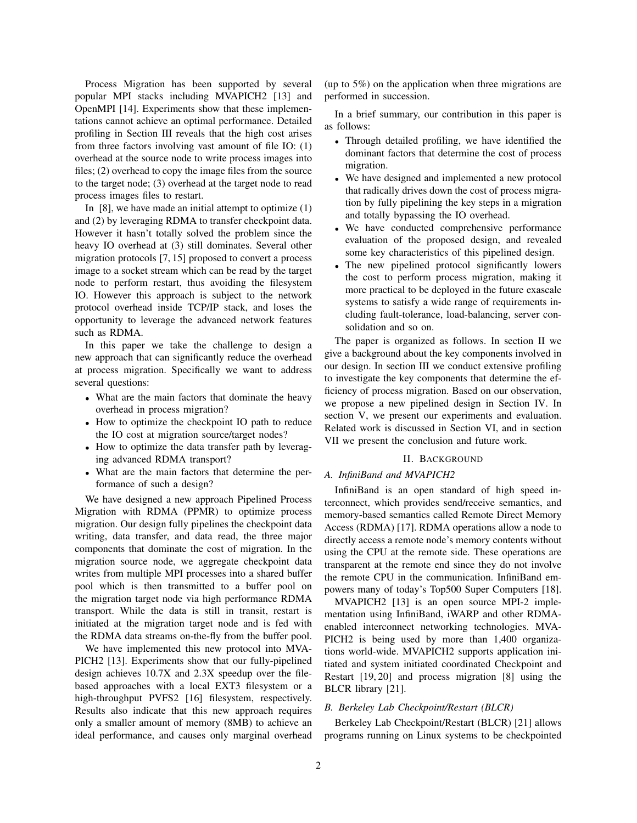Process Migration has been supported by several popular MPI stacks including MVAPICH2 [13] and OpenMPI [14]. Experiments show that these implementations cannot achieve an optimal performance. Detailed profiling in Section III reveals that the high cost arises from three factors involving vast amount of file IO: (1) overhead at the source node to write process images into files; (2) overhead to copy the image files from the source to the target node; (3) overhead at the target node to read process images files to restart.

In  $[8]$ , we have made an initial attempt to optimize  $(1)$ and (2) by leveraging RDMA to transfer checkpoint data. However it hasn't totally solved the problem since the heavy IO overhead at (3) still dominates. Several other migration protocols [7, 15] proposed to convert a process image to a socket stream which can be read by the target node to perform restart, thus avoiding the filesystem IO. However this approach is subject to the network protocol overhead inside TCP/IP stack, and loses the opportunity to leverage the advanced network features such as RDMA.

In this paper we take the challenge to design a new approach that can significantly reduce the overhead at process migration. Specifically we want to address several questions:

- What are the main factors that dominate the heavy overhead in process migration?
- How to optimize the checkpoint IO path to reduce the IO cost at migration source/target nodes?
- How to optimize the data transfer path by leveraging advanced RDMA transport?
- What are the main factors that determine the performance of such a design?

We have designed a new approach Pipelined Process Migration with RDMA (PPMR) to optimize process migration. Our design fully pipelines the checkpoint data writing, data transfer, and data read, the three major components that dominate the cost of migration. In the migration source node, we aggregate checkpoint data writes from multiple MPI processes into a shared buffer pool which is then transmitted to a buffer pool on the migration target node via high performance RDMA transport. While the data is still in transit, restart is initiated at the migration target node and is fed with the RDMA data streams on-the-fly from the buffer pool.

We have implemented this new protocol into MVA-PICH2 [13]. Experiments show that our fully-pipelined design achieves 10.7X and 2.3X speedup over the filebased approaches with a local EXT3 filesystem or a high-throughput PVFS2 [16] filesystem, respectively. Results also indicate that this new approach requires only a smaller amount of memory (8MB) to achieve an ideal performance, and causes only marginal overhead

(up to 5%) on the application when three migrations are performed in succession.

In a brief summary, our contribution in this paper is as follows:

- Through detailed profiling, we have identified the dominant factors that determine the cost of process migration.
- We have designed and implemented a new protocol that radically drives down the cost of process migration by fully pipelining the key steps in a migration and totally bypassing the IO overhead.
- We have conducted comprehensive performance evaluation of the proposed design, and revealed some key characteristics of this pipelined design.
- The new pipelined protocol significantly lowers the cost to perform process migration, making it more practical to be deployed in the future exascale systems to satisfy a wide range of requirements including fault-tolerance, load-balancing, server consolidation and so on.

The paper is organized as follows. In section II we give a background about the key components involved in our design. In section III we conduct extensive profiling to investigate the key components that determine the efficiency of process migration. Based on our observation, we propose a new pipelined design in Section IV. In section V, we present our experiments and evaluation. Related work is discussed in Section VI, and in section VII we present the conclusion and future work.

# II. BACKGROUND

# *A. InfiniBand and MVAPICH2*

InfiniBand is an open standard of high speed interconnect, which provides send/receive semantics, and memory-based semantics called Remote Direct Memory Access (RDMA) [17]. RDMA operations allow a node to directly access a remote node's memory contents without using the CPU at the remote side. These operations are transparent at the remote end since they do not involve the remote CPU in the communication. InfiniBand empowers many of today's Top500 Super Computers [18].

MVAPICH2 [13] is an open source MPI-2 implementation using InfiniBand, iWARP and other RDMAenabled interconnect networking technologies. MVA-PICH2 is being used by more than 1,400 organizations world-wide. MVAPICH2 supports application initiated and system initiated coordinated Checkpoint and Restart [19, 20] and process migration [8] using the BLCR library [21].

# *B. Berkeley Lab Checkpoint/Restart (BLCR)*

Berkeley Lab Checkpoint/Restart (BLCR) [21] allows programs running on Linux systems to be checkpointed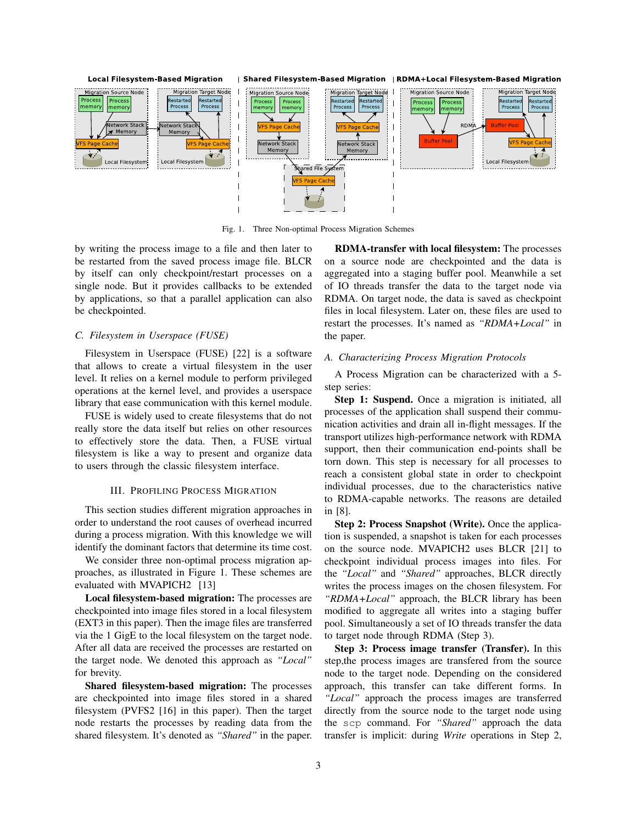

Fig. 1. Three Non-optimal Process Migration Schemes

by writing the process image to a file and then later to be restarted from the saved process image file. BLCR by itself can only checkpoint/restart processes on a single node. But it provides callbacks to be extended by applications, so that a parallel application can also be checkpointed.

# *C. Filesystem in Userspace (FUSE)*

Filesystem in Userspace (FUSE) [22] is a software that allows to create a virtual filesystem in the user level. It relies on a kernel module to perform privileged operations at the kernel level, and provides a userspace library that ease communication with this kernel module.

FUSE is widely used to create filesystems that do not really store the data itself but relies on other resources to effectively store the data. Then, a FUSE virtual filesystem is like a way to present and organize data to users through the classic filesystem interface.

#### III. PROFILING PROCESS MIGRATION

This section studies different migration approaches in order to understand the root causes of overhead incurred during a process migration. With this knowledge we will identify the dominant factors that determine its time cost.

We consider three non-optimal process migration approaches, as illustrated in Figure 1. These schemes are evaluated with MVAPICH2 [13]

Local filesystem-based migration: The processes are checkpointed into image files stored in a local filesystem (EXT3 in this paper). Then the image files are transferred via the 1 GigE to the local filesystem on the target node. After all data are received the processes are restarted on the target node. We denoted this approach as *"Local"* for brevity.

Shared filesystem-based migration: The processes are checkpointed into image files stored in a shared filesystem (PVFS2 [16] in this paper). Then the target node restarts the processes by reading data from the shared filesystem. It's denoted as *"Shared"* in the paper.

RDMA-transfer with local filesystem: The processes on a source node are checkpointed and the data is aggregated into a staging buffer pool. Meanwhile a set of IO threads transfer the data to the target node via RDMA. On target node, the data is saved as checkpoint files in local filesystem. Later on, these files are used to restart the processes. It's named as *"RDMA+Local"* in the paper.

### *A. Characterizing Process Migration Protocols*

A Process Migration can be characterized with a 5 step series:

Step 1: Suspend. Once a migration is initiated, all processes of the application shall suspend their communication activities and drain all in-flight messages. If the transport utilizes high-performance network with RDMA support, then their communication end-points shall be torn down. This step is necessary for all processes to reach a consistent global state in order to checkpoint individual processes, due to the characteristics native to RDMA-capable networks. The reasons are detailed in [8].

Step 2: Process Snapshot (Write). Once the application is suspended, a snapshot is taken for each processes on the source node. MVAPICH2 uses BLCR [21] to checkpoint individual process images into files. For the *"Local"* and *"Shared"* approaches, BLCR directly writes the process images on the chosen filesystem. For *"RDMA+Local"* approach, the BLCR library has been modified to aggregate all writes into a staging buffer pool. Simultaneously a set of IO threads transfer the data to target node through RDMA (Step 3).

Step 3: Process image transfer (Transfer). In this step,the process images are transfered from the source node to the target node. Depending on the considered approach, this transfer can take different forms. In *"Local"* approach the process images are transferred directly from the source node to the target node using the scp command. For *"Shared"* approach the data transfer is implicit: during *Write* operations in Step 2,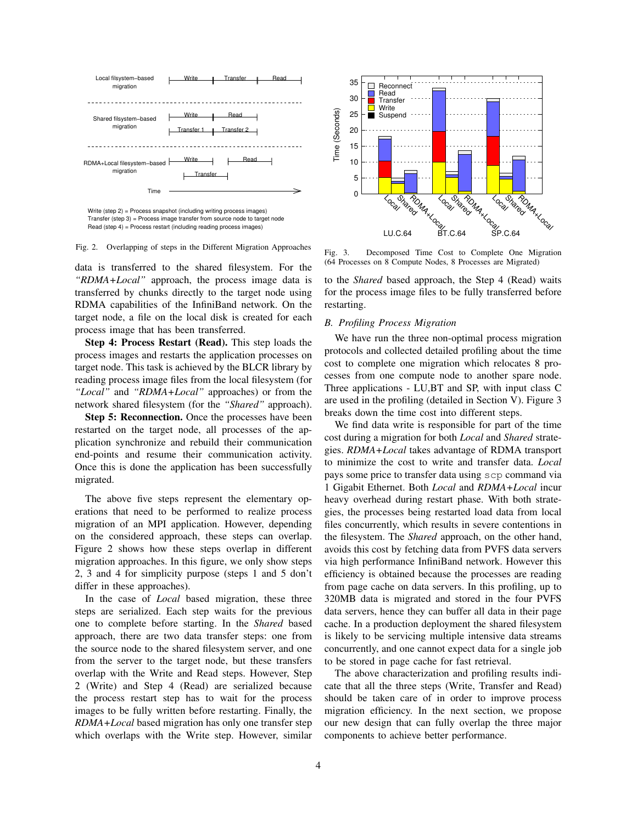



data is transferred to the shared filesystem. For the *"RDMA+Local"* approach, the process image data is transferred by chunks directly to the target node using RDMA capabilities of the InfiniBand network. On the target node, a file on the local disk is created for each process image that has been transferred.

Step 4: Process Restart (Read). This step loads the process images and restarts the application processes on target node. This task is achieved by the BLCR library by reading process image files from the local filesystem (for *"Local"* and *"RDMA+Local"* approaches) or from the network shared filesystem (for the *"Shared"* approach).

Step 5: Reconnection. Once the processes have been restarted on the target node, all processes of the application synchronize and rebuild their communication end-points and resume their communication activity. Once this is done the application has been successfully migrated.

The above five steps represent the elementary operations that need to be performed to realize process migration of an MPI application. However, depending on the considered approach, these steps can overlap. Figure 2 shows how these steps overlap in different migration approaches. In this figure, we only show steps 2, 3 and 4 for simplicity purpose (steps 1 and 5 don't differ in these approaches).

In the case of *Local* based migration, these three steps are serialized. Each step waits for the previous one to complete before starting. In the *Shared* based approach, there are two data transfer steps: one from the source node to the shared filesystem server, and one from the server to the target node, but these transfers overlap with the Write and Read steps. However, Step 2 (Write) and Step 4 (Read) are serialized because the process restart step has to wait for the process images to be fully written before restarting. Finally, the *RDMA+Local* based migration has only one transfer step which overlaps with the Write step. However, similar



Fig. 3. Decomposed Time Cost to Complete One Migration (64 Processes on 8 Compute Nodes, 8 Processes are Migrated)

to the *Shared* based approach, the Step 4 (Read) waits for the process image files to be fully transferred before restarting.

#### *B. Profiling Process Migration*

We have run the three non-optimal process migration protocols and collected detailed profiling about the time cost to complete one migration which relocates 8 processes from one compute node to another spare node. Three applications - LU,BT and SP, with input class C are used in the profiling (detailed in Section V). Figure 3 breaks down the time cost into different steps.

We find data write is responsible for part of the time cost during a migration for both *Local* and *Shared* strategies. *RDMA+Local* takes advantage of RDMA transport to minimize the cost to write and transfer data. *Local* pays some price to transfer data using scp command via 1 Gigabit Ethernet. Both *Local* and *RDMA+Local* incur heavy overhead during restart phase. With both strategies, the processes being restarted load data from local files concurrently, which results in severe contentions in the filesystem. The *Shared* approach, on the other hand, avoids this cost by fetching data from PVFS data servers via high performance InfiniBand network. However this efficiency is obtained because the processes are reading from page cache on data servers. In this profiling, up to 320MB data is migrated and stored in the four PVFS data servers, hence they can buffer all data in their page cache. In a production deployment the shared filesystem is likely to be servicing multiple intensive data streams concurrently, and one cannot expect data for a single job to be stored in page cache for fast retrieval.

The above characterization and profiling results indicate that all the three steps (Write, Transfer and Read) should be taken care of in order to improve process migration efficiency. In the next section, we propose our new design that can fully overlap the three major components to achieve better performance.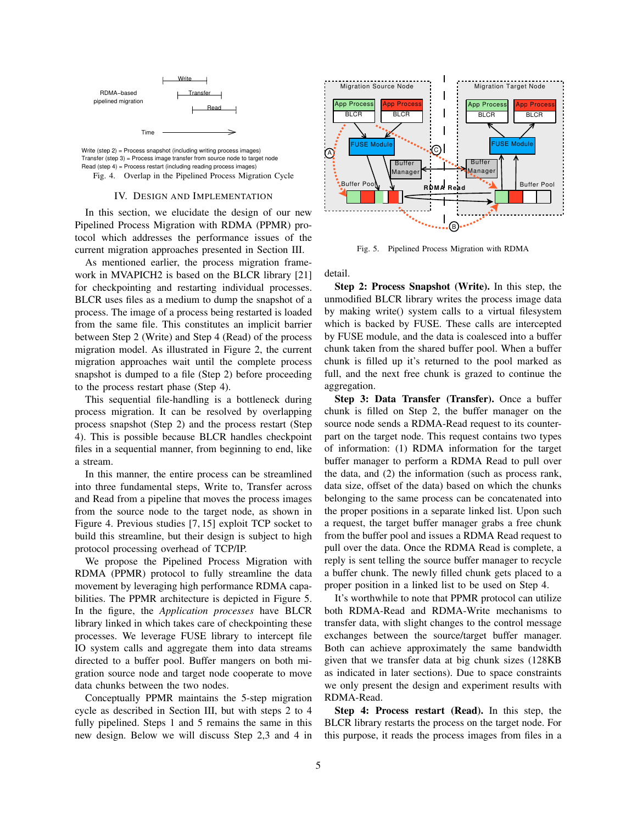



# IV. DESIGN AND IMPLEMENTATION

In this section, we elucidate the design of our new Pipelined Process Migration with RDMA (PPMR) protocol which addresses the performance issues of the current migration approaches presented in Section III.

As mentioned earlier, the process migration framework in MVAPICH2 is based on the BLCR library [21] for checkpointing and restarting individual processes. BLCR uses files as a medium to dump the snapshot of a process. The image of a process being restarted is loaded from the same file. This constitutes an implicit barrier between Step 2 (Write) and Step 4 (Read) of the process migration model. As illustrated in Figure 2, the current migration approaches wait until the complete process snapshot is dumped to a file (Step 2) before proceeding to the process restart phase (Step 4).

This sequential file-handling is a bottleneck during process migration. It can be resolved by overlapping process snapshot (Step 2) and the process restart (Step 4). This is possible because BLCR handles checkpoint files in a sequential manner, from beginning to end, like a stream.

In this manner, the entire process can be streamlined into three fundamental steps, Write to, Transfer across and Read from a pipeline that moves the process images from the source node to the target node, as shown in Figure 4. Previous studies [7, 15] exploit TCP socket to build this streamline, but their design is subject to high protocol processing overhead of TCP/IP.

We propose the Pipelined Process Migration with RDMA (PPMR) protocol to fully streamline the data movement by leveraging high performance RDMA capabilities. The PPMR architecture is depicted in Figure 5. In the figure, the *Application processes* have BLCR library linked in which takes care of checkpointing these processes. We leverage FUSE library to intercept file IO system calls and aggregate them into data streams directed to a buffer pool. Buffer mangers on both migration source node and target node cooperate to move data chunks between the two nodes.

Conceptually PPMR maintains the 5-step migration cycle as described in Section III, but with steps 2 to 4 fully pipelined. Steps 1 and 5 remains the same in this new design. Below we will discuss Step 2,3 and 4 in



Fig. 5. Pipelined Process Migration with RDMA

detail.

Step 2: Process Snapshot (Write). In this step, the unmodified BLCR library writes the process image data by making write() system calls to a virtual filesystem which is backed by FUSE. These calls are intercepted by FUSE module, and the data is coalesced into a buffer chunk taken from the shared buffer pool. When a buffer chunk is filled up it's returned to the pool marked as full, and the next free chunk is grazed to continue the aggregation.

Step 3: Data Transfer (Transfer). Once a buffer chunk is filled on Step 2, the buffer manager on the source node sends a RDMA-Read request to its counterpart on the target node. This request contains two types of information: (1) RDMA information for the target buffer manager to perform a RDMA Read to pull over the data, and (2) the information (such as process rank, data size, offset of the data) based on which the chunks belonging to the same process can be concatenated into the proper positions in a separate linked list. Upon such a request, the target buffer manager grabs a free chunk from the buffer pool and issues a RDMA Read request to pull over the data. Once the RDMA Read is complete, a reply is sent telling the source buffer manager to recycle a buffer chunk. The newly filled chunk gets placed to a proper position in a linked list to be used on Step 4.

It's worthwhile to note that PPMR protocol can utilize both RDMA-Read and RDMA-Write mechanisms to transfer data, with slight changes to the control message exchanges between the source/target buffer manager. Both can achieve approximately the same bandwidth given that we transfer data at big chunk sizes (128KB as indicated in later sections). Due to space constraints we only present the design and experiment results with RDMA-Read.

Step 4: Process restart (Read). In this step, the BLCR library restarts the process on the target node. For this purpose, it reads the process images from files in a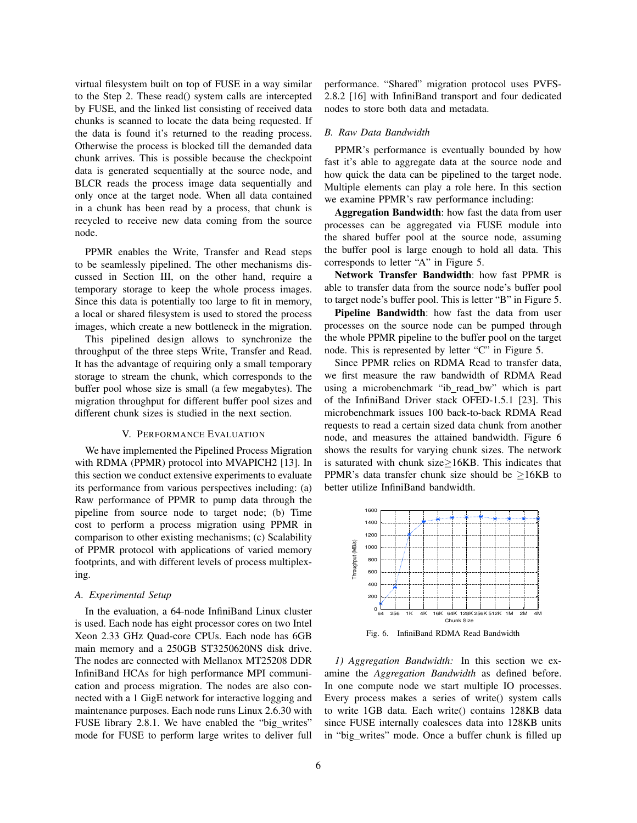virtual filesystem built on top of FUSE in a way similar to the Step 2. These read() system calls are intercepted by FUSE, and the linked list consisting of received data chunks is scanned to locate the data being requested. If the data is found it's returned to the reading process. Otherwise the process is blocked till the demanded data chunk arrives. This is possible because the checkpoint data is generated sequentially at the source node, and BLCR reads the process image data sequentially and only once at the target node. When all data contained in a chunk has been read by a process, that chunk is recycled to receive new data coming from the source node.

PPMR enables the Write, Transfer and Read steps to be seamlessly pipelined. The other mechanisms discussed in Section III, on the other hand, require a temporary storage to keep the whole process images. Since this data is potentially too large to fit in memory, a local or shared filesystem is used to stored the process images, which create a new bottleneck in the migration.

This pipelined design allows to synchronize the throughput of the three steps Write, Transfer and Read. It has the advantage of requiring only a small temporary storage to stream the chunk, which corresponds to the buffer pool whose size is small (a few megabytes). The migration throughput for different buffer pool sizes and different chunk sizes is studied in the next section.

#### V. PERFORMANCE EVALUATION

We have implemented the Pipelined Process Migration with RDMA (PPMR) protocol into MVAPICH2 [13]. In this section we conduct extensive experiments to evaluate its performance from various perspectives including: (a) Raw performance of PPMR to pump data through the pipeline from source node to target node; (b) Time cost to perform a process migration using PPMR in comparison to other existing mechanisms; (c) Scalability of PPMR protocol with applications of varied memory footprints, and with different levels of process multiplexing.

# *A. Experimental Setup*

In the evaluation, a 64-node InfiniBand Linux cluster is used. Each node has eight processor cores on two Intel Xeon 2.33 GHz Quad-core CPUs. Each node has 6GB main memory and a 250GB ST3250620NS disk drive. The nodes are connected with Mellanox MT25208 DDR InfiniBand HCAs for high performance MPI communication and process migration. The nodes are also connected with a 1 GigE network for interactive logging and maintenance purposes. Each node runs Linux 2.6.30 with FUSE library 2.8.1. We have enabled the "big writes" mode for FUSE to perform large writes to deliver full performance. "Shared" migration protocol uses PVFS-2.8.2 [16] with InfiniBand transport and four dedicated nodes to store both data and metadata.

# *B. Raw Data Bandwidth*

PPMR's performance is eventually bounded by how fast it's able to aggregate data at the source node and how quick the data can be pipelined to the target node. Multiple elements can play a role here. In this section we examine PPMR's raw performance including:

Aggregation Bandwidth: how fast the data from user processes can be aggregated via FUSE module into the shared buffer pool at the source node, assuming the buffer pool is large enough to hold all data. This corresponds to letter "A" in Figure 5.

Network Transfer Bandwidth: how fast PPMR is able to transfer data from the source node's buffer pool to target node's buffer pool. This is letter "B" in Figure 5.

Pipeline Bandwidth: how fast the data from user processes on the source node can be pumped through the whole PPMR pipeline to the buffer pool on the target node. This is represented by letter "C" in Figure 5.

Since PPMR relies on RDMA Read to transfer data, we first measure the raw bandwidth of RDMA Read using a microbenchmark "ib\_read\_bw" which is part of the InfiniBand Driver stack OFED-1.5.1 [23]. This microbenchmark issues 100 back-to-back RDMA Read requests to read a certain sized data chunk from another node, and measures the attained bandwidth. Figure 6 shows the results for varying chunk sizes. The network is saturated with chunk size≥16KB. This indicates that PPMR's data transfer chunk size should be  $\geq$ 16KB to better utilize InfiniBand bandwidth.



Fig. 6. InfiniBand RDMA Read Bandwidth

*1) Aggregation Bandwidth:* In this section we examine the *Aggregation Bandwidth* as defined before. In one compute node we start multiple IO processes. Every process makes a series of write() system calls to write 1GB data. Each write() contains 128KB data since FUSE internally coalesces data into 128KB units in "big\_writes" mode. Once a buffer chunk is filled up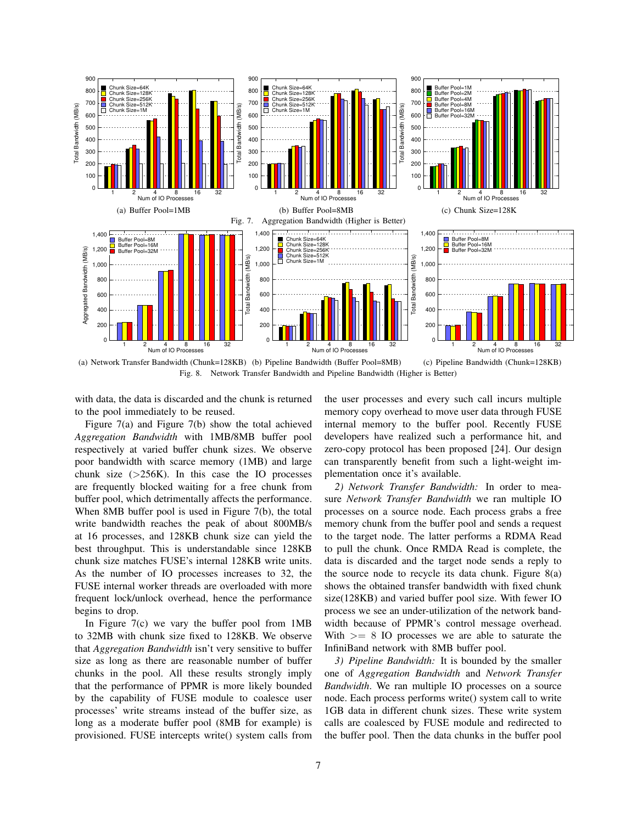

(a) Network Transfer Bandwidth (Chunk=128KB) (b) Pipeline Bandwidth (Buffer Pool=8MB) (c) Pipeline Bandwidth (Chunk=128KB) Fig. 8. Network Transfer Bandwidth and Pipeline Bandwidth (Higher is Better)

with data, the data is discarded and the chunk is returned to the pool immediately to be reused.

Figure 7(a) and Figure 7(b) show the total achieved *Aggregation Bandwidth* with 1MB/8MB buffer pool respectively at varied buffer chunk sizes. We observe poor bandwidth with scarce memory (1MB) and large chunk size  $(>256K)$ . In this case the IO processes are frequently blocked waiting for a free chunk from buffer pool, which detrimentally affects the performance. When 8MB buffer pool is used in Figure 7(b), the total write bandwidth reaches the peak of about 800MB/s at 16 processes, and 128KB chunk size can yield the best throughput. This is understandable since 128KB chunk size matches FUSE's internal 128KB write units. As the number of IO processes increases to 32, the FUSE internal worker threads are overloaded with more frequent lock/unlock overhead, hence the performance begins to drop.

In Figure  $7(c)$  we vary the buffer pool from 1MB to 32MB with chunk size fixed to 128KB. We observe that *Aggregation Bandwidth* isn't very sensitive to buffer size as long as there are reasonable number of buffer chunks in the pool. All these results strongly imply that the performance of PPMR is more likely bounded by the capability of FUSE module to coalesce user processes' write streams instead of the buffer size, as long as a moderate buffer pool (8MB for example) is provisioned. FUSE intercepts write() system calls from the user processes and every such call incurs multiple memory copy overhead to move user data through FUSE internal memory to the buffer pool. Recently FUSE developers have realized such a performance hit, and zero-copy protocol has been proposed [24]. Our design can transparently benefit from such a light-weight implementation once it's available.

*2) Network Transfer Bandwidth:* In order to measure *Network Transfer Bandwidth* we ran multiple IO processes on a source node. Each process grabs a free memory chunk from the buffer pool and sends a request to the target node. The latter performs a RDMA Read to pull the chunk. Once RMDA Read is complete, the data is discarded and the target node sends a reply to the source node to recycle its data chunk. Figure 8(a) shows the obtained transfer bandwidth with fixed chunk size(128KB) and varied buffer pool size. With fewer IO process we see an under-utilization of the network bandwidth because of PPMR's control message overhead. With  $>= 8$  IO processes we are able to saturate the InfiniBand network with 8MB buffer pool.

*3) Pipeline Bandwidth:* It is bounded by the smaller one of *Aggregation Bandwidth* and *Network Transfer Bandwidth*. We ran multiple IO processes on a source node. Each process performs write() system call to write 1GB data in different chunk sizes. These write system calls are coalesced by FUSE module and redirected to the buffer pool. Then the data chunks in the buffer pool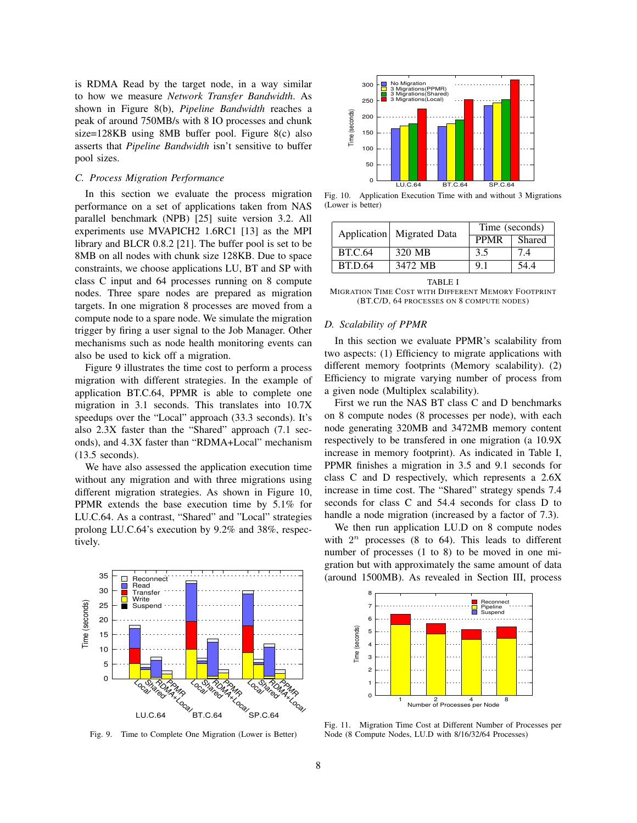is RDMA Read by the target node, in a way similar to how we measure *Network Transfer Bandwidth*. As shown in Figure 8(b), *Pipeline Bandwidth* reaches a peak of around 750MB/s with 8 IO processes and chunk size=128KB using 8MB buffer pool. Figure 8(c) also asserts that *Pipeline Bandwidth* isn't sensitive to buffer pool sizes.

# *C. Process Migration Performance*

In this section we evaluate the process migration performance on a set of applications taken from NAS parallel benchmark (NPB) [25] suite version 3.2. All experiments use MVAPICH2 1.6RC1 [13] as the MPI library and BLCR 0.8.2 [21]. The buffer pool is set to be 8MB on all nodes with chunk size 128KB. Due to space constraints, we choose applications LU, BT and SP with class C input and 64 processes running on 8 compute nodes. Three spare nodes are prepared as migration targets. In one migration 8 processes are moved from a compute node to a spare node. We simulate the migration trigger by firing a user signal to the Job Manager. Other mechanisms such as node health monitoring events can also be used to kick off a migration.

Figure 9 illustrates the time cost to perform a process migration with different strategies. In the example of application BT.C.64, PPMR is able to complete one migration in 3.1 seconds. This translates into 10.7X speedups over the "Local" approach (33.3 seconds). It's also 2.3X faster than the "Shared" approach (7.1 seconds), and 4.3X faster than "RDMA+Local" mechanism (13.5 seconds).

We have also assessed the application execution time without any migration and with three migrations using different migration strategies. As shown in Figure 10, PPMR extends the base execution time by 5.1% for LU.C.64. As a contrast, "Shared" and "Local" strategies prolong LU.C.64's execution by 9.2% and 38%, respectively.



Fig. 9. Time to Complete One Migration (Lower is Better)



Fig. 10. Application Execution Time with and without 3 Migrations (Lower is better)

|                | Application Migrated Data | Time (seconds) |        |
|----------------|---------------------------|----------------|--------|
|                |                           | <b>PPMR</b>    | Shared |
| <b>BT.C.64</b> | 320 MB                    | 3.5            | 7.4    |
| <b>BT.D.64</b> | 3472 MB                   | 9.1            | 54.4   |

TABLE I MIGRATION TIME COST WITH DIFFERENT MEMORY FOOTPRINT (BT.C/D, 64 PROCESSES ON 8 COMPUTE NODES)

# *D. Scalability of PPMR*

In this section we evaluate PPMR's scalability from two aspects: (1) Efficiency to migrate applications with different memory footprints (Memory scalability). (2) Efficiency to migrate varying number of process from a given node (Multiplex scalability).

First we run the NAS BT class C and D benchmarks on 8 compute nodes (8 processes per node), with each node generating 320MB and 3472MB memory content respectively to be transfered in one migration (a 10.9X increase in memory footprint). As indicated in Table I, PPMR finishes a migration in 3.5 and 9.1 seconds for class C and D respectively, which represents a 2.6X increase in time cost. The "Shared" strategy spends 7.4 seconds for class C and 54.4 seconds for class D to handle a node migration (increased by a factor of 7.3).

We then run application LU.D on 8 compute nodes with  $2^n$  processes (8 to 64). This leads to different number of processes (1 to 8) to be moved in one migration but with approximately the same amount of data (around 1500MB). As revealed in Section III, process



Fig. 11. Migration Time Cost at Different Number of Processes per Node (8 Compute Nodes, LU.D with 8/16/32/64 Processes)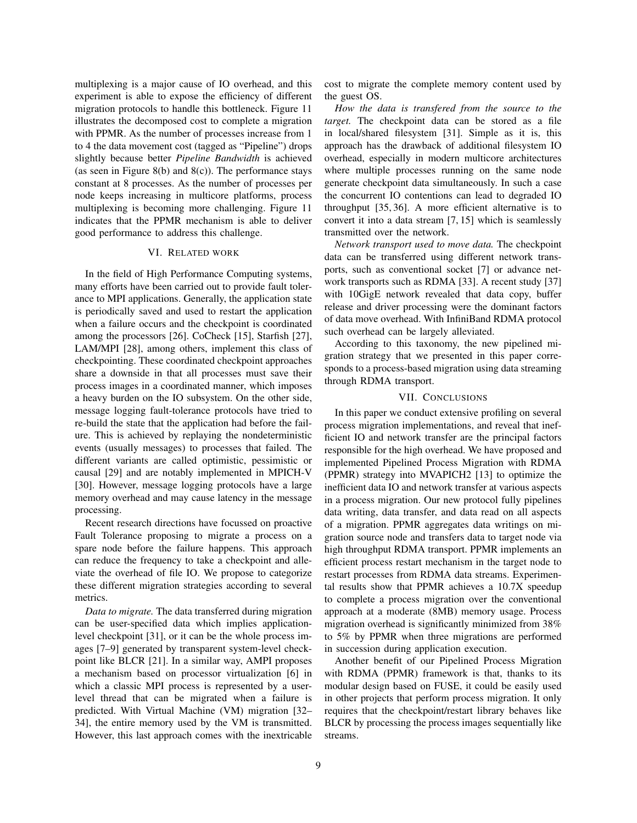multiplexing is a major cause of IO overhead, and this experiment is able to expose the efficiency of different migration protocols to handle this bottleneck. Figure 11 illustrates the decomposed cost to complete a migration with PPMR. As the number of processes increase from 1 to 4 the data movement cost (tagged as "Pipeline") drops slightly because better *Pipeline Bandwidth* is achieved (as seen in Figure 8(b) and 8(c)). The performance stays constant at 8 processes. As the number of processes per node keeps increasing in multicore platforms, process multiplexing is becoming more challenging. Figure 11 indicates that the PPMR mechanism is able to deliver good performance to address this challenge.

# VI. RELATED WORK

In the field of High Performance Computing systems, many efforts have been carried out to provide fault tolerance to MPI applications. Generally, the application state is periodically saved and used to restart the application when a failure occurs and the checkpoint is coordinated among the processors [26]. CoCheck [15], Starfish [27], LAM/MPI [28], among others, implement this class of checkpointing. These coordinated checkpoint approaches share a downside in that all processes must save their process images in a coordinated manner, which imposes a heavy burden on the IO subsystem. On the other side, message logging fault-tolerance protocols have tried to re-build the state that the application had before the failure. This is achieved by replaying the nondeterministic events (usually messages) to processes that failed. The different variants are called optimistic, pessimistic or causal [29] and are notably implemented in MPICH-V [30]. However, message logging protocols have a large memory overhead and may cause latency in the message processing.

Recent research directions have focussed on proactive Fault Tolerance proposing to migrate a process on a spare node before the failure happens. This approach can reduce the frequency to take a checkpoint and alleviate the overhead of file IO. We propose to categorize these different migration strategies according to several metrics.

*Data to migrate.* The data transferred during migration can be user-specified data which implies applicationlevel checkpoint [31], or it can be the whole process images [7–9] generated by transparent system-level checkpoint like BLCR [21]. In a similar way, AMPI proposes a mechanism based on processor virtualization [6] in which a classic MPI process is represented by a userlevel thread that can be migrated when a failure is predicted. With Virtual Machine (VM) migration [32– 34], the entire memory used by the VM is transmitted. However, this last approach comes with the inextricable cost to migrate the complete memory content used by the guest OS.

*How the data is transfered from the source to the target.* The checkpoint data can be stored as a file in local/shared filesystem [31]. Simple as it is, this approach has the drawback of additional filesystem IO overhead, especially in modern multicore architectures where multiple processes running on the same node generate checkpoint data simultaneously. In such a case the concurrent IO contentions can lead to degraded IO throughput [35, 36]. A more efficient alternative is to convert it into a data stream [7, 15] which is seamlessly transmitted over the network.

*Network transport used to move data.* The checkpoint data can be transferred using different network transports, such as conventional socket [7] or advance network transports such as RDMA [33]. A recent study [37] with 10GigE network revealed that data copy, buffer release and driver processing were the dominant factors of data move overhead. With InfiniBand RDMA protocol such overhead can be largely alleviated.

According to this taxonomy, the new pipelined migration strategy that we presented in this paper corresponds to a process-based migration using data streaming through RDMA transport.

### VII. CONCLUSIONS

In this paper we conduct extensive profiling on several process migration implementations, and reveal that inefficient IO and network transfer are the principal factors responsible for the high overhead. We have proposed and implemented Pipelined Process Migration with RDMA (PPMR) strategy into MVAPICH2 [13] to optimize the inefficient data IO and network transfer at various aspects in a process migration. Our new protocol fully pipelines data writing, data transfer, and data read on all aspects of a migration. PPMR aggregates data writings on migration source node and transfers data to target node via high throughput RDMA transport. PPMR implements an efficient process restart mechanism in the target node to restart processes from RDMA data streams. Experimental results show that PPMR achieves a 10.7X speedup to complete a process migration over the conventional approach at a moderate (8MB) memory usage. Process migration overhead is significantly minimized from 38% to 5% by PPMR when three migrations are performed in succession during application execution.

Another benefit of our Pipelined Process Migration with RDMA (PPMR) framework is that, thanks to its modular design based on FUSE, it could be easily used in other projects that perform process migration. It only requires that the checkpoint/restart library behaves like BLCR by processing the process images sequentially like streams.